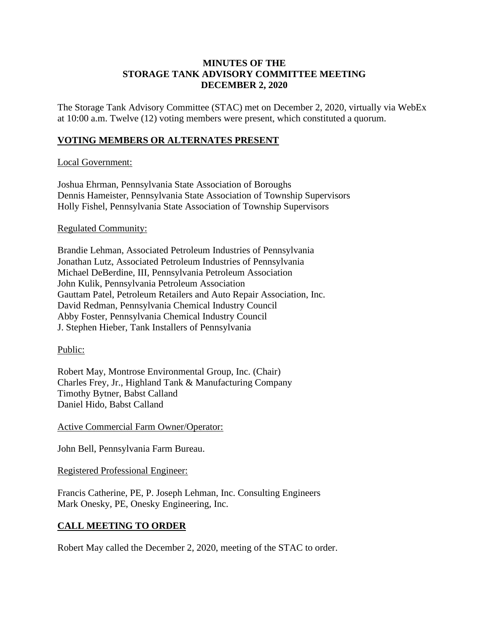### **MINUTES OF THE STORAGE TANK ADVISORY COMMITTEE MEETING DECEMBER 2, 2020**

The Storage Tank Advisory Committee (STAC) met on December 2, 2020, virtually via WebEx at 10:00 a.m. Twelve (12) voting members were present, which constituted a quorum.

## **VOTING MEMBERS OR ALTERNATES PRESENT**

### Local Government:

Joshua Ehrman, Pennsylvania State Association of Boroughs Dennis Hameister, Pennsylvania State Association of Township Supervisors Holly Fishel, Pennsylvania State Association of Township Supervisors

### Regulated Community:

Brandie Lehman, Associated Petroleum Industries of Pennsylvania Jonathan Lutz, Associated Petroleum Industries of Pennsylvania Michael DeBerdine, III, Pennsylvania Petroleum Association John Kulik, Pennsylvania Petroleum Association Gauttam Patel, Petroleum Retailers and Auto Repair Association, Inc. David Redman, Pennsylvania Chemical Industry Council Abby Foster, Pennsylvania Chemical Industry Council J. Stephen Hieber, Tank Installers of Pennsylvania

## Public:

Robert May, Montrose Environmental Group, Inc. (Chair) Charles Frey, Jr., Highland Tank & Manufacturing Company Timothy Bytner, Babst Calland Daniel Hido, Babst Calland

Active Commercial Farm Owner/Operator:

John Bell, Pennsylvania Farm Bureau.

#### Registered Professional Engineer:

Francis Catherine, PE, P. Joseph Lehman, Inc. Consulting Engineers Mark Onesky, PE, Onesky Engineering, Inc.

## **CALL MEETING TO ORDER**

Robert May called the December 2, 2020, meeting of the STAC to order.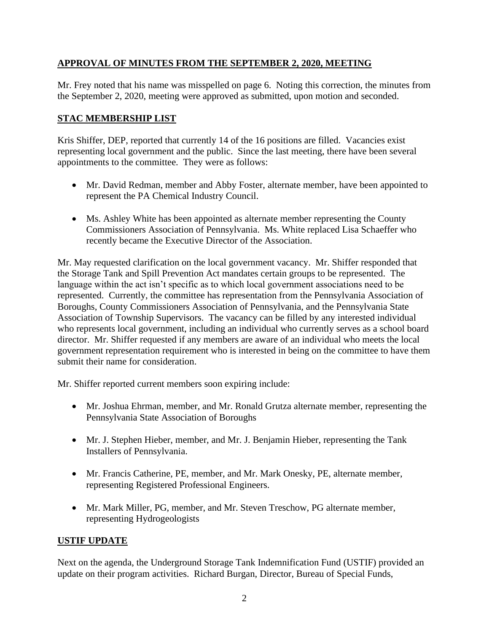# **APPROVAL OF MINUTES FROM THE SEPTEMBER 2, 2020, MEETING**

Mr. Frey noted that his name was misspelled on page 6. Noting this correction, the minutes from the September 2, 2020, meeting were approved as submitted, upon motion and seconded.

# **STAC MEMBERSHIP LIST**

Kris Shiffer, DEP, reported that currently 14 of the 16 positions are filled. Vacancies exist representing local government and the public. Since the last meeting, there have been several appointments to the committee. They were as follows:

- Mr. David Redman, member and Abby Foster, alternate member, have been appointed to represent the PA Chemical Industry Council.
- Ms. Ashley White has been appointed as alternate member representing the County Commissioners Association of Pennsylvania. Ms. White replaced Lisa Schaeffer who recently became the Executive Director of the Association.

Mr. May requested clarification on the local government vacancy. Mr. Shiffer responded that the Storage Tank and Spill Prevention Act mandates certain groups to be represented. The language within the act isn't specific as to which local government associations need to be represented. Currently, the committee has representation from the Pennsylvania Association of Boroughs, County Commissioners Association of Pennsylvania, and the Pennsylvania State Association of Township Supervisors. The vacancy can be filled by any interested individual who represents local government, including an individual who currently serves as a school board director. Mr. Shiffer requested if any members are aware of an individual who meets the local government representation requirement who is interested in being on the committee to have them submit their name for consideration.

Mr. Shiffer reported current members soon expiring include:

- Mr. Joshua Ehrman, member, and Mr. Ronald Grutza alternate member, representing the Pennsylvania State Association of Boroughs
- Mr. J. Stephen Hieber, member, and Mr. J. Benjamin Hieber, representing the Tank Installers of Pennsylvania.
- Mr. Francis Catherine, PE, member, and Mr. Mark Onesky, PE, alternate member, representing Registered Professional Engineers.
- Mr. Mark Miller, PG, member, and Mr. Steven Treschow, PG alternate member, representing Hydrogeologists

## **USTIF UPDATE**

Next on the agenda, the Underground Storage Tank Indemnification Fund (USTIF) provided an update on their program activities. Richard Burgan, Director, Bureau of Special Funds,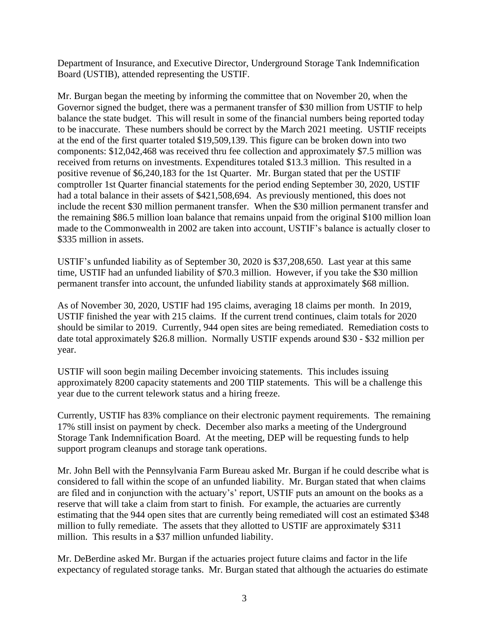Department of Insurance, and Executive Director, Underground Storage Tank Indemnification Board (USTIB), attended representing the USTIF.

Mr. Burgan began the meeting by informing the committee that on November 20, when the Governor signed the budget, there was a permanent transfer of \$30 million from USTIF to help balance the state budget. This will result in some of the financial numbers being reported today to be inaccurate. These numbers should be correct by the March 2021 meeting. USTIF receipts at the end of the first quarter totaled \$19,509,139. This figure can be broken down into two components: \$12,042,468 was received thru fee collection and approximately \$7.5 million was received from returns on investments. Expenditures totaled \$13.3 million. This resulted in a positive revenue of \$6,240,183 for the 1st Quarter. Mr. Burgan stated that per the USTIF comptroller 1st Quarter financial statements for the period ending September 30, 2020, USTIF had a total balance in their assets of \$421,508,694. As previously mentioned, this does not include the recent \$30 million permanent transfer. When the \$30 million permanent transfer and the remaining \$86.5 million loan balance that remains unpaid from the original \$100 million loan made to the Commonwealth in 2002 are taken into account, USTIF's balance is actually closer to \$335 million in assets.

USTIF's unfunded liability as of September 30, 2020 is \$37,208,650. Last year at this same time, USTIF had an unfunded liability of \$70.3 million. However, if you take the \$30 million permanent transfer into account, the unfunded liability stands at approximately \$68 million.

As of November 30, 2020, USTIF had 195 claims, averaging 18 claims per month. In 2019, USTIF finished the year with 215 claims. If the current trend continues, claim totals for 2020 should be similar to 2019. Currently, 944 open sites are being remediated. Remediation costs to date total approximately \$26.8 million. Normally USTIF expends around \$30 - \$32 million per year.

USTIF will soon begin mailing December invoicing statements. This includes issuing approximately 8200 capacity statements and 200 TIIP statements. This will be a challenge this year due to the current telework status and a hiring freeze.

Currently, USTIF has 83% compliance on their electronic payment requirements. The remaining 17% still insist on payment by check. December also marks a meeting of the Underground Storage Tank Indemnification Board. At the meeting, DEP will be requesting funds to help support program cleanups and storage tank operations.

Mr. John Bell with the Pennsylvania Farm Bureau asked Mr. Burgan if he could describe what is considered to fall within the scope of an unfunded liability. Mr. Burgan stated that when claims are filed and in conjunction with the actuary's' report, USTIF puts an amount on the books as a reserve that will take a claim from start to finish. For example, the actuaries are currently estimating that the 944 open sites that are currently being remediated will cost an estimated \$348 million to fully remediate. The assets that they allotted to USTIF are approximately \$311 million. This results in a \$37 million unfunded liability.

Mr. DeBerdine asked Mr. Burgan if the actuaries project future claims and factor in the life expectancy of regulated storage tanks. Mr. Burgan stated that although the actuaries do estimate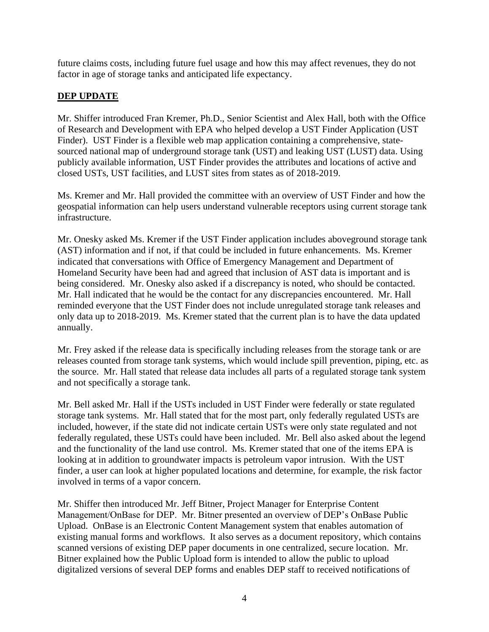future claims costs, including future fuel usage and how this may affect revenues, they do not factor in age of storage tanks and anticipated life expectancy.

# **DEP UPDATE**

Mr. Shiffer introduced Fran Kremer, Ph.D., Senior Scientist and Alex Hall, both with the Office of Research and Development with EPA who helped develop a UST Finder Application (UST Finder). UST Finder is a flexible web map application containing a comprehensive, statesourced national map of underground storage tank (UST) and leaking UST (LUST) data. Using publicly available information, UST Finder provides the attributes and locations of active and closed USTs, UST facilities, and LUST sites from states as of 2018-2019.

Ms. Kremer and Mr. Hall provided the committee with an overview of UST Finder and how the geospatial information can help users understand vulnerable receptors using current storage tank infrastructure.

Mr. Onesky asked Ms. Kremer if the UST Finder application includes aboveground storage tank (AST) information and if not, if that could be included in future enhancements. Ms. Kremer indicated that conversations with Office of Emergency Management and Department of Homeland Security have been had and agreed that inclusion of AST data is important and is being considered. Mr. Onesky also asked if a discrepancy is noted, who should be contacted. Mr. Hall indicated that he would be the contact for any discrepancies encountered. Mr. Hall reminded everyone that the UST Finder does not include unregulated storage tank releases and only data up to 2018-2019. Ms. Kremer stated that the current plan is to have the data updated annually.

Mr. Frey asked if the release data is specifically including releases from the storage tank or are releases counted from storage tank systems, which would include spill prevention, piping, etc. as the source. Mr. Hall stated that release data includes all parts of a regulated storage tank system and not specifically a storage tank.

Mr. Bell asked Mr. Hall if the USTs included in UST Finder were federally or state regulated storage tank systems. Mr. Hall stated that for the most part, only federally regulated USTs are included, however, if the state did not indicate certain USTs were only state regulated and not federally regulated, these USTs could have been included. Mr. Bell also asked about the legend and the functionality of the land use control. Ms. Kremer stated that one of the items EPA is looking at in addition to groundwater impacts is petroleum vapor intrusion. With the UST finder, a user can look at higher populated locations and determine, for example, the risk factor involved in terms of a vapor concern.

Mr. Shiffer then introduced Mr. Jeff Bitner, Project Manager for Enterprise Content Management/OnBase for DEP. Mr. Bitner presented an overview of DEP's OnBase Public Upload. OnBase is an Electronic Content Management system that enables automation of existing manual forms and workflows. It also serves as a document repository, which contains scanned versions of existing DEP paper documents in one centralized, secure location. Mr. Bitner explained how the Public Upload form is intended to allow the public to upload digitalized versions of several DEP forms and enables DEP staff to received notifications of